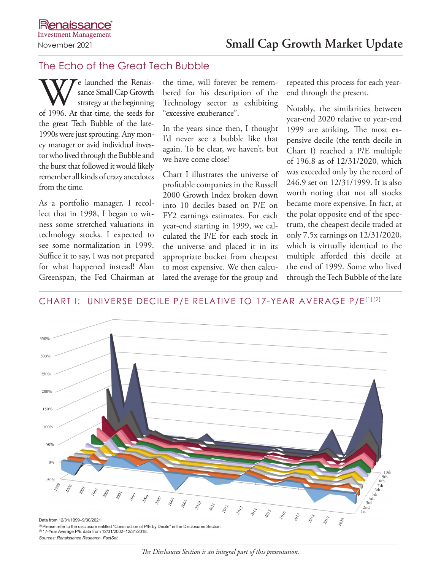## The Echo of the Great Tech Bubble

We launched the Renais-<br>strategy at the beginning<br>of 1996. At that time, the seeds for sance Small Cap Growth strategy at the beginning the great Tech Bubble of the late-1990s were just sprouting. Any money manager or avid individual investor who lived through the Bubble and the burst that followed it would likely remember all kinds of crazy anecdotes from the time.

As a portfolio manager, I recollect that in 1998, I began to witness some stretched valuations in technology stocks. I expected to see some normalization in 1999. Suffice it to say, I was not prepared for what happened instead! Alan Greenspan, the Fed Chairman at the time, will forever be remembered for his description of the Technology sector as exhibiting "excessive exuberance".

In the years since then, I thought I'd never see a bubble like that again. To be clear, we haven't, but we have come close!

Chart I illustrates the universe of profitable companies in the Russell 2000 Growth Index broken down into 10 deciles based on P/E on FY2 earnings estimates. For each year-end starting in 1999, we calculated the P/E for each stock in the universe and placed it in its appropriate bucket from cheapest to most expensive. We then calculated the average for the group and repeated this process for each yearend through the present.

Notably, the similarities between year-end 2020 relative to year-end 1999 are striking. The most expensive decile (the tenth decile in Chart I) reached a P/E multiple of 196.8 as of 12/31/2020, which was exceeded only by the record of 246.9 set on 12/31/1999. It is also worth noting that not all stocks became more expensive. In fact, at the polar opposite end of the spectrum, the cheapest decile traded at only 7.5x earnings on 12/31/2020, which is virtually identical to the multiple afforded this decile at the end of 1999. Some who lived through the Tech Bubble of the late

## CHART I: UNIVERSE DECILE P/E RELATIVE TO 17-YEAR AVERAGE P/E(1)(2)



*Sources: Renaissance Research, FactSet*

*The Disclosures Section is an integral part of this presentation.*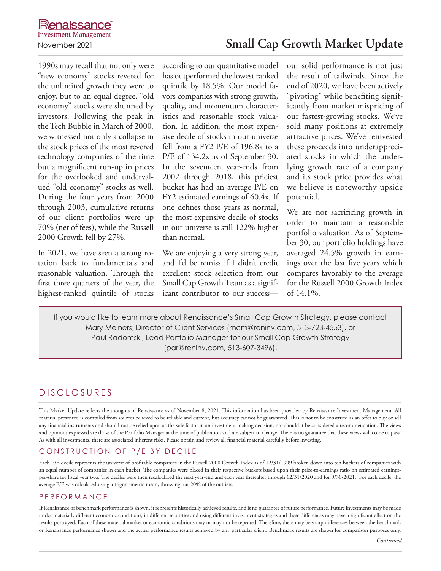1990s may recall that not only were "new economy" stocks revered for the unlimited growth they were to enjoy, but to an equal degree, "old economy" stocks were shunned by investors. Following the peak in the Tech Bubble in March of 2000, we witnessed not only a collapse in the stock prices of the most revered technology companies of the time but a magnificent run-up in prices for the overlooked and undervalued "old economy" stocks as well. During the four years from 2000 through 2003, cumulative returns of our client portfolios were up 70% (net of fees), while the Russell 2000 Growth fell by 27%.

In 2021, we have seen a strong rotation back to fundamentals and reasonable valuation. Through the first three quarters of the year, the highest-ranked quintile of stocks according to our quantitative model has outperformed the lowest ranked quintile by 18.5%. Our model favors companies with strong growth, quality, and momentum characteristics and reasonable stock valuation. In addition, the most expensive decile of stocks in our universe fell from a FY2 P/E of 196.8x to a P/E of 134.2x as of September 30. In the seventeen year-ends from 2002 through 2018, this priciest bucket has had an average P/E on FY2 estimated earnings of 60.4x. If one defines those years as normal, the most expensive decile of stocks in our universe is still 122% higher than normal.

We are enjoying a very strong year, and I'd be remiss if I didn't credit excellent stock selection from our Small Cap Growth Team as a significant contributor to our successour solid performance is not just the result of tailwinds. Since the end of 2020, we have been actively "pivoting" while benefiting significantly from market mispricing of our fastest-growing stocks. We've sold many positions at extremely attractive prices. We've reinvested these proceeds into underappreciated stocks in which the underlying growth rate of a company and its stock price provides what we believe is noteworthy upside potential.

We are not sacrificing growth in order to maintain a reasonable portfolio valuation. As of September 30, our portfolio holdings have averaged 24.5% growth in earnings over the last five years which compares favorably to the average for the Russell 2000 Growth Index of 14.1%.

If you would like to learn more about Renaissance's Small Cap Growth Strategy, please contact Mary Meiners, Director of Client Services (mcm@reninv.com, 513-723-4553), or Paul Radomski, Lead Portfolio Manager for our Small Cap Growth Strategy (par@reninv.com, 513-607-3496).

# DISCLOSURES

This Market Update reflects the thoughts of Renaissance as of November 8, 2021. This information has been provided by Renaissance Investment Management. All material presented is compiled from sources believed to be reliable and current, but accuracy cannot be guaranteed. This is not to be construed as an offer to buy or sell any financial instruments and should not be relied upon as the sole factor in an investment making decision, nor should it be considered a recommendation. The views and opinions expressed are those of the Portfolio Manager at the time of publication and are subject to change. There is no guarantee that these views will come to pass. As with all investments, there are associated inherent risks. Please obtain and review all financial material carefully before investing.

## CONSTRUCTION OF P/E BY DECILE

Each P/E decile represents the universe of profitable companies in the Russell 2000 Growth Index as of 12/31/1999 broken down into ten buckets of companies with an equal number of companies in each bucket. The companies were placed in their respective buckets based upon their price-to-earnings ratio on estimated earningsper-share for fiscal year two. The deciles were then recalculated the next year-end and each year thereafter through 12/31/2020 and for 9/30/2021. For each decile, the average P/E was calculated using a trigonometric mean, throwing out 20% of the outliers.

#### PERFORMANCE

If Renaissance or benchmark performance is shown, it represents historically achieved results, and is no guarantee of future performance. Future investments may be made under materially different economic conditions, in different securities and using different investment strategies and these differences may have a significant effect on the results portrayed. Each of these material market or economic conditions may or may not be repeated. Therefore, there may be sharp differences between the benchmark or Renaissance performance shown and the actual performance results achieved by any particular client. Benchmark results are shown for comparison purposes only.